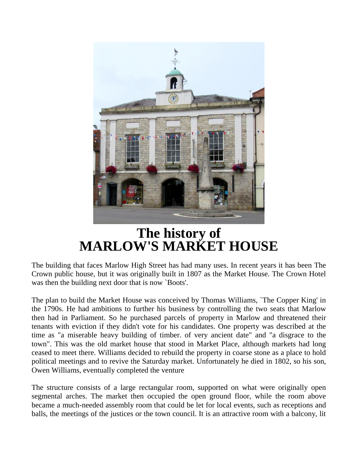

## **The history of MARLOW'S MARKET HOUSE**

The building that faces Marlow High Street has had many uses. In recent years it has been The Crown public house, but it was originally built in 1807 as the Market House. The Crown Hotel was then the building next door that is now `Boots'.

The plan to build the Market House was conceived by Thomas Williams, `The Copper King' in the 1790s. He had ambitions to further his business by controlling the two seats that Marlow then had in Parliament. So he purchased parcels of property in Marlow and threatened their tenants with eviction if they didn't vote for his candidates. One property was described at the time as "a miserable heavy building of timber. of very ancient date" and "a disgrace to the town". This was the old market house that stood in Market Place, although markets had long ceased to meet there. Williams decided to rebuild the property in coarse stone as a place to hold political meetings and to revive the Saturday market. Unfortunately he died in 1802, so his son, Owen Williams, eventually completed the venture

The structure consists of a large rectangular room, supported on what were originally open segmental arches. The market then occupied the open ground floor, while the room above became a much-needed assembly room that could be let for local events, such as receptions and balls, the meetings of the justices or the town council. It is an attractive room with a balcony, lit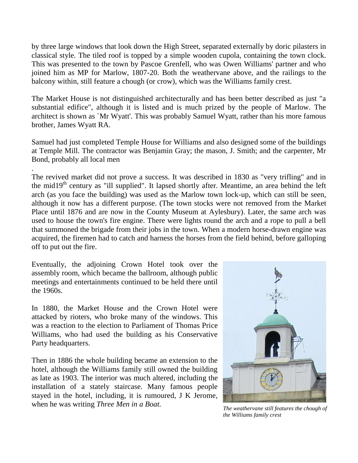by three large windows that look down the High Street, separated externally by doric pilasters in classical style. The tiled roof is topped by a simple wooden cupola, containing the town clock. This was presented to the town by Pascoe Grenfell, who was Owen Williams' partner and who joined him as MP for Marlow, 1807-20. Both the weathervane above, and the railings to the balcony within, still feature a chough (or crow), which was the Williams family crest.

The Market House is not distinguished architecturally and has been better described as just "a substantial edifice", although it is listed and is much prized by the people of Marlow. The architect is shown as `Mr Wyatt'. This was probably Samuel Wyatt, rather than his more famous brother, James Wyatt RA.

Samuel had just completed Temple House for Williams and also designed some of the buildings at Temple Mill. The contractor was Benjamin Gray; the mason, J. Smith; and the carpenter, Mr Bond, probably all local men

The revived market did not prove a success. It was described in 1830 as "very trifling" and in the mid19<sup>th</sup> century as "ill supplied". It lapsed shortly after. Meantime, an area behind the left arch (as you face the building) was used as the Marlow town lock-up, which can still be seen, although it now has a different purpose. (The town stocks were not removed from the Market Place until 1876 and are now in the County Museum at Aylesbury). Later, the same arch was used to house the town's fire engine. There were lights round the arch and a rope to pull a bell that summoned the brigade from their jobs in the town. When a modern horse-drawn engine was acquired, the firemen had to catch and harness the horses from the field behind, before galloping off to put out the fire.

Eventually, the adjoining Crown Hotel took over the assembly room, which became the ballroom, although public meetings and entertainments continued to be held there until the 1960s.

.

In 1880, the Market House and the Crown Hotel were attacked by rioters, who broke many of the windows. This was a reaction to the election to Parliament of Thomas Price Williams, who had used the building as his Conservative Party headquarters.

Then in 1886 the whole building became an extension to the hotel, although the Williams family still owned the building as late as 1903. The interior was much altered, including the installation of a stately staircase. Many famous people stayed in the hotel, including, it is rumoured, J K Jerome, when he was writing *Three Men in a Boat*.<br>The weathervane still features the chough of



*the Williams family crest*